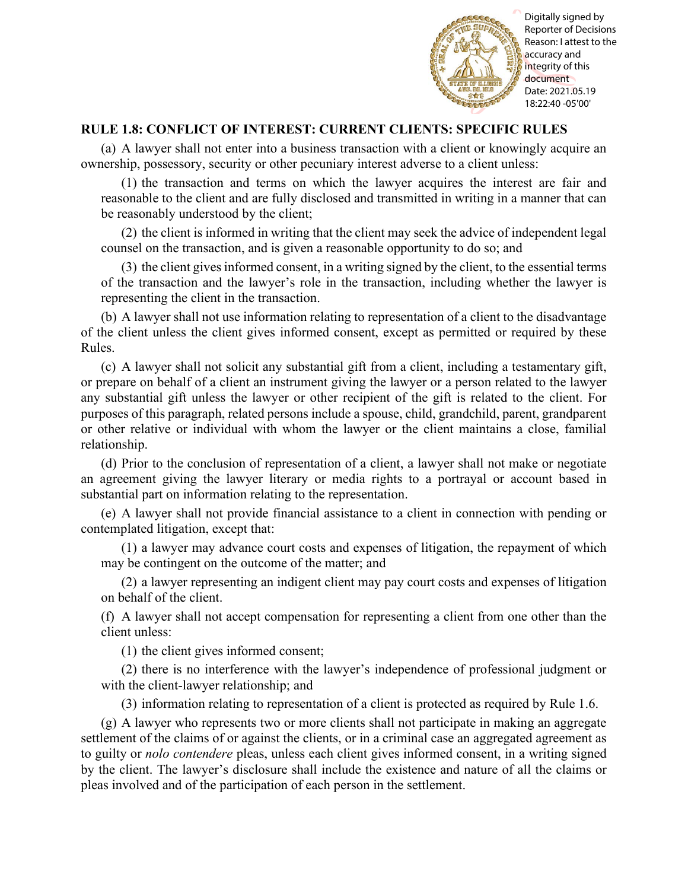

Reporter of Decisions Reason: I attest to the accuracy and integrity of this document Date: 2021.05.19 18:22:40 -05'00'

# **RULE 1.8: CONFLICT OF INTEREST: CURRENT CLIENTS: SPECIFIC RULES**

(a) A lawyer shall not enter into a business transaction with a client or knowingly acquire an ownership, possessory, security or other pecuniary interest adverse to a client unless:

(1) the transaction and terms on which the lawyer acquires the interest are fair and reasonable to the client and are fully disclosed and transmitted in writing in a manner that can be reasonably understood by the client;

(2) the client is informed in writing that the client may seek the advice of independent legal counsel on the transaction, and is given a reasonable opportunity to do so; and

(3) the client gives informed consent, in a writing signed by the client, to the essential terms of the transaction and the lawyer's role in the transaction, including whether the lawyer is representing the client in the transaction.

(b) A lawyer shall not use information relating to representation of a client to the disadvantage of the client unless the client gives informed consent, except as permitted or required by these Rules.

(c) A lawyer shall not solicit any substantial gift from a client, including a testamentary gift, or prepare on behalf of a client an instrument giving the lawyer or a person related to the lawyer any substantial gift unless the lawyer or other recipient of the gift is related to the client. For purposes of this paragraph, related persons include a spouse, child, grandchild, parent, grandparent or other relative or individual with whom the lawyer or the client maintains a close, familial relationship. **EXECUTE: EXECUTE TOP INTERFECT OF INTERFECT CONDUCT CONDUCT TOP**<br>
(a) A layoye relation of the material on the participation of the settlement. (a) a layon of the participation of the participation of the settlement. (

(d) Prior to the conclusion of representation of a client, a lawyer shall not make or negotiate an agreement giving the lawyer literary or media rights to a portrayal or account based in substantial part on information relating to the representation.

(e) A lawyer shall not provide financial assistance to a client in connection with pending or contemplated litigation, except that:

(1) a lawyer may advance court costs and expenses of litigation, the repayment of which may be contingent on the outcome of the matter; and

(2) a lawyer representing an indigent client may pay court costs and expenses of litigation on behalf of the client.

(f) A lawyer shall not accept compensation for representing a client from one other than the client unless:

(1) the client gives informed consent;

(2) there is no interference with the lawyer's independence of professional judgment or with the client-lawyer relationship; and

(3) information relating to representation of a client is protected as required by Rule 1.6.

(g) A lawyer who represents two or more clients shall not participate in making an aggregate settlement of the claims of or against the clients, or in a criminal case an aggregated agreement as to guilty or *nolo contendere* pleas, unless each client gives informed consent, in a writing signed by the client. The lawyer's disclosure shall include the existence and nature of all the claims or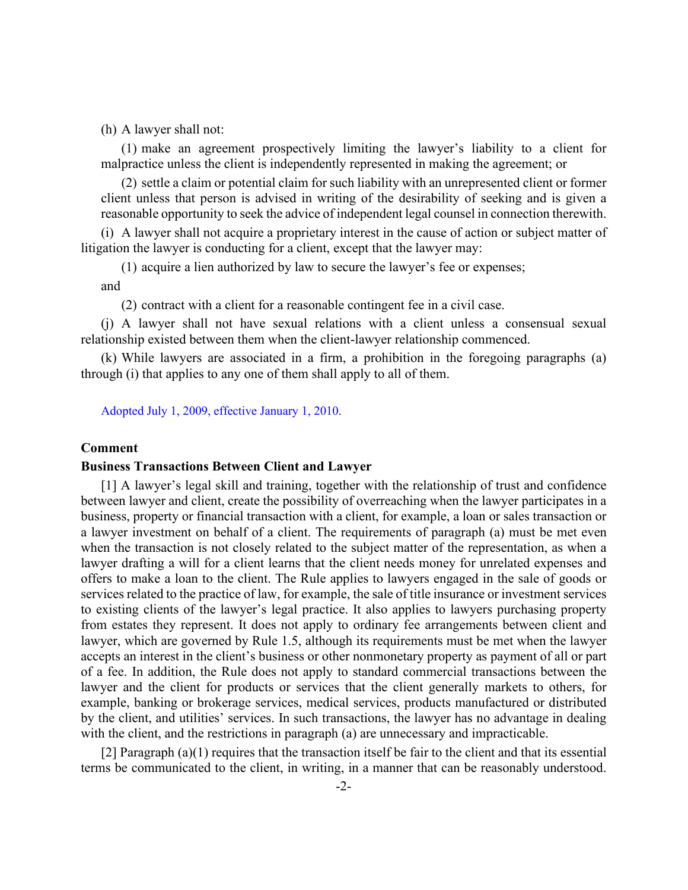(h) A lawyer shall not:

(1) make an agreement prospectively limiting the lawyer's liability to a client for malpractice unless the client is independently represented in making the agreement; or

(2) settle a claim or potential claim for such liability with an unrepresented client or former client unless that person is advised in writing of the desirability of seeking and is given a reasonable opportunity to seek the advice of independent legal counsel in connection therewith.

(i) A lawyer shall not acquire a proprietary interest in the cause of action or subject matter of litigation the lawyer is conducting for a client, except that the lawyer may:

(1) acquire a lien authorized by law to secure the lawyer's fee or expenses;

and

(2) contract with a client for a reasonable contingent fee in a civil case.

(j) A lawyer shall not have sexual relations with a client unless a consensual sexual relationship existed between them when the client-lawyer relationship commenced.

(k) While lawyers are associated in a firm, a prohibition in the foregoing paragraphs (a) through (i) that applies to any one of them shall apply to all of them.

[Adopted July 1, 2009, effective January 1, 2010.](http://www.illinoiscourts.gov/files/070109.pdf/amendment)

## **Comment**

# **Business Transactions Between Client and Lawyer**

[1] A lawyer's legal skill and training, together with the relationship of trust and confidence between lawyer and client, create the possibility of overreaching when the lawyer participates in a business, property or financial transaction with a client, for example, a loan or sales transaction or a lawyer investment on behalf of a client. The requirements of paragraph (a) must be met even when the transaction is not closely related to the subject matter of the representation, as when a lawyer drafting a will for a client learns that the client needs money for unrelated expenses and offers to make a loan to the client. The Rule applies to lawyers engaged in the sale of goods or services related to the practice of law, for example, the sale of title insurance or investment services to existing clients of the lawyer's legal practice. It also applies to lawyers purchasing property from estates they represent. It does not apply to ordinary fee arrangements between client and lawyer, which are governed by Rule 1.5, although its requirements must be met when the lawyer accepts an interest in the client's business or other nonmonetary property as payment of all or part of a fee. In addition, the Rule does not apply to standard commercial transactions between the lawyer and the client for products or services that the client generally markets to others, for example, banking or brokerage services, medical services, products manufactured or distributed by the client, and utilities' services. In such transactions, the lawyer has no advantage in dealing with the client, and the restrictions in paragraph (a) are unnecessary and impracticable.

[2] Paragraph (a)(1) requires that the transaction itself be fair to the client and that its essential terms be communicated to the client, in writing, in a manner that can be reasonably understood.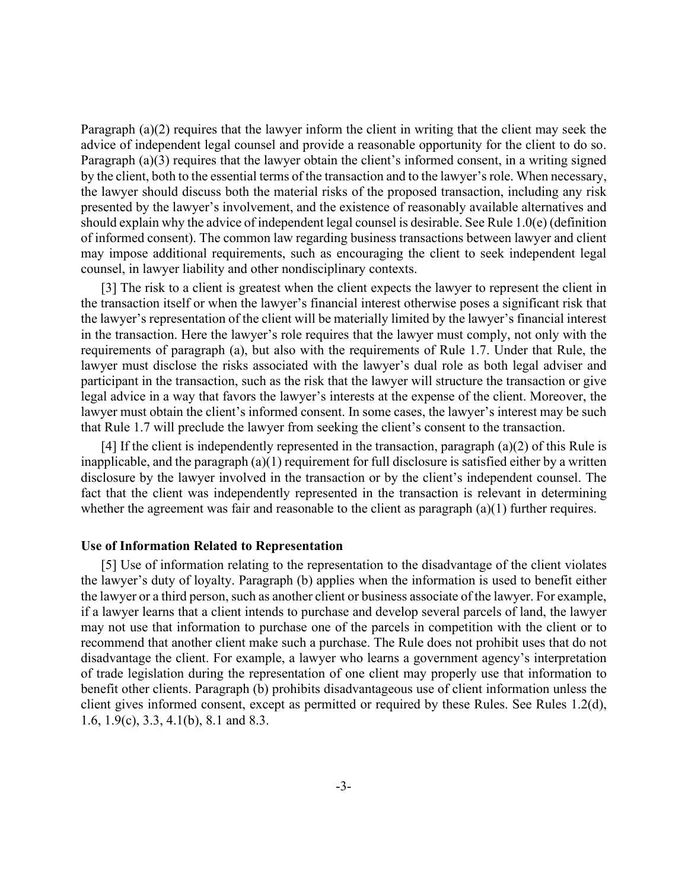Paragraph (a)(2) requires that the lawyer inform the client in writing that the client may seek the advice of independent legal counsel and provide a reasonable opportunity for the client to do so. Paragraph (a)(3) requires that the lawyer obtain the client's informed consent, in a writing signed by the client, both to the essential terms of the transaction and to the lawyer's role. When necessary, the lawyer should discuss both the material risks of the proposed transaction, including any risk presented by the lawyer's involvement, and the existence of reasonably available alternatives and should explain why the advice of independent legal counsel is desirable. See Rule 1.0(e) (definition of informed consent). The common law regarding business transactions between lawyer and client may impose additional requirements, such as encouraging the client to seek independent legal counsel, in lawyer liability and other nondisciplinary contexts.

[3] The risk to a client is greatest when the client expects the lawyer to represent the client in the transaction itself or when the lawyer's financial interest otherwise poses a significant risk that the lawyer's representation of the client will be materially limited by the lawyer's financial interest in the transaction. Here the lawyer's role requires that the lawyer must comply, not only with the requirements of paragraph (a), but also with the requirements of Rule 1.7. Under that Rule, the lawyer must disclose the risks associated with the lawyer's dual role as both legal adviser and participant in the transaction, such as the risk that the lawyer will structure the transaction or give legal advice in a way that favors the lawyer's interests at the expense of the client. Moreover, the lawyer must obtain the client's informed consent. In some cases, the lawyer's interest may be such that Rule 1.7 will preclude the lawyer from seeking the client's consent to the transaction.

[4] If the client is independently represented in the transaction, paragraph (a)(2) of this Rule is inapplicable, and the paragraph (a)(1) requirement for full disclosure is satisfied either by a written disclosure by the lawyer involved in the transaction or by the client's independent counsel. The fact that the client was independently represented in the transaction is relevant in determining whether the agreement was fair and reasonable to the client as paragraph (a)(1) further requires.

#### **Use of Information Related to Representation**

[5] Use of information relating to the representation to the disadvantage of the client violates the lawyer's duty of loyalty. Paragraph (b) applies when the information is used to benefit either the lawyer or a third person, such as another client or business associate of the lawyer. For example, if a lawyer learns that a client intends to purchase and develop several parcels of land, the lawyer may not use that information to purchase one of the parcels in competition with the client or to recommend that another client make such a purchase. The Rule does not prohibit uses that do not disadvantage the client. For example, a lawyer who learns a government agency's interpretation of trade legislation during the representation of one client may properly use that information to benefit other clients. Paragraph (b) prohibits disadvantageous use of client information unless the client gives informed consent, except as permitted or required by these Rules. See Rules 1.2(d), 1.6, 1.9(c), 3.3, 4.1(b), 8.1 and 8.3.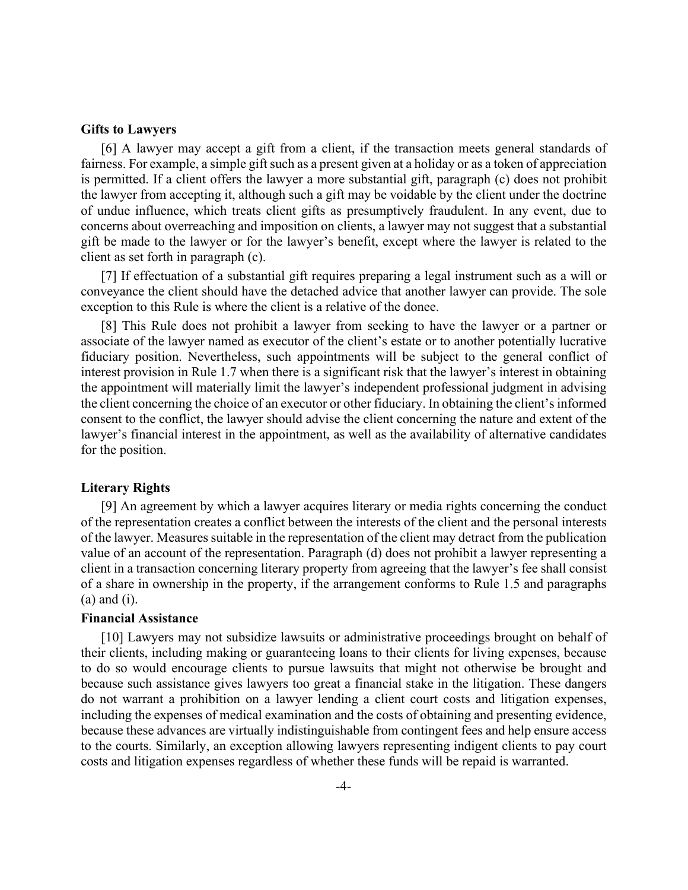#### **Gifts to Lawyers**

[6] A lawyer may accept a gift from a client, if the transaction meets general standards of fairness. For example, a simple gift such as a present given at a holiday or as a token of appreciation is permitted. If a client offers the lawyer a more substantial gift, paragraph (c) does not prohibit the lawyer from accepting it, although such a gift may be voidable by the client under the doctrine of undue influence, which treats client gifts as presumptively fraudulent. In any event, due to concerns about overreaching and imposition on clients, a lawyer may not suggest that a substantial gift be made to the lawyer or for the lawyer's benefit, except where the lawyer is related to the client as set forth in paragraph (c).

[7] If effectuation of a substantial gift requires preparing a legal instrument such as a will or conveyance the client should have the detached advice that another lawyer can provide. The sole exception to this Rule is where the client is a relative of the donee.

[8] This Rule does not prohibit a lawyer from seeking to have the lawyer or a partner or associate of the lawyer named as executor of the client's estate or to another potentially lucrative fiduciary position. Nevertheless, such appointments will be subject to the general conflict of interest provision in Rule 1.7 when there is a significant risk that the lawyer's interest in obtaining the appointment will materially limit the lawyer's independent professional judgment in advising the client concerning the choice of an executor or other fiduciary. In obtaining the client's informed consent to the conflict, the lawyer should advise the client concerning the nature and extent of the lawyer's financial interest in the appointment, as well as the availability of alternative candidates for the position.

## **Literary Rights**

[9] An agreement by which a lawyer acquires literary or media rights concerning the conduct of the representation creates a conflict between the interests of the client and the personal interests of the lawyer. Measures suitable in the representation of the client may detract from the publication value of an account of the representation. Paragraph (d) does not prohibit a lawyer representing a client in a transaction concerning literary property from agreeing that the lawyer's fee shall consist of a share in ownership in the property, if the arrangement conforms to Rule 1.5 and paragraphs (a) and (i).

# **Financial Assistance**

[10] Lawyers may not subsidize lawsuits or administrative proceedings brought on behalf of their clients, including making or guaranteeing loans to their clients for living expenses, because to do so would encourage clients to pursue lawsuits that might not otherwise be brought and because such assistance gives lawyers too great a financial stake in the litigation. These dangers do not warrant a prohibition on a lawyer lending a client court costs and litigation expenses, including the expenses of medical examination and the costs of obtaining and presenting evidence, because these advances are virtually indistinguishable from contingent fees and help ensure access to the courts. Similarly, an exception allowing lawyers representing indigent clients to pay court costs and litigation expenses regardless of whether these funds will be repaid is warranted.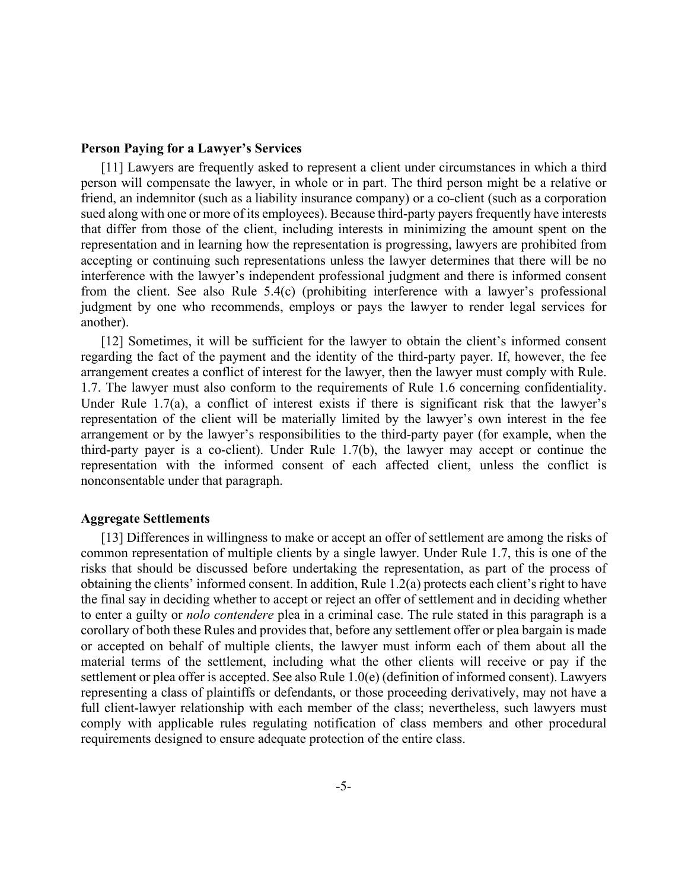#### **Person Paying for a Lawyer's Services**

[11] Lawyers are frequently asked to represent a client under circumstances in which a third person will compensate the lawyer, in whole or in part. The third person might be a relative or friend, an indemnitor (such as a liability insurance company) or a co-client (such as a corporation sued along with one or more of its employees). Because third-party payers frequently have interests that differ from those of the client, including interests in minimizing the amount spent on the representation and in learning how the representation is progressing, lawyers are prohibited from accepting or continuing such representations unless the lawyer determines that there will be no interference with the lawyer's independent professional judgment and there is informed consent from the client. See also Rule 5.4(c) (prohibiting interference with a lawyer's professional judgment by one who recommends, employs or pays the lawyer to render legal services for another).

[12] Sometimes, it will be sufficient for the lawyer to obtain the client's informed consent regarding the fact of the payment and the identity of the third-party payer. If, however, the fee arrangement creates a conflict of interest for the lawyer, then the lawyer must comply with Rule. 1.7. The lawyer must also conform to the requirements of Rule 1.6 concerning confidentiality. Under Rule 1.7(a), a conflict of interest exists if there is significant risk that the lawyer's representation of the client will be materially limited by the lawyer's own interest in the fee arrangement or by the lawyer's responsibilities to the third-party payer (for example, when the third-party payer is a co-client). Under Rule 1.7(b), the lawyer may accept or continue the representation with the informed consent of each affected client, unless the conflict is nonconsentable under that paragraph.

# **Aggregate Settlements**

[13] Differences in willingness to make or accept an offer of settlement are among the risks of common representation of multiple clients by a single lawyer. Under Rule 1.7, this is one of the risks that should be discussed before undertaking the representation, as part of the process of obtaining the clients' informed consent. In addition, Rule 1.2(a) protects each client's right to have the final say in deciding whether to accept or reject an offer of settlement and in deciding whether to enter a guilty or *nolo contendere* plea in a criminal case. The rule stated in this paragraph is a corollary of both these Rules and provides that, before any settlement offer or plea bargain is made or accepted on behalf of multiple clients, the lawyer must inform each of them about all the material terms of the settlement, including what the other clients will receive or pay if the settlement or plea offer is accepted. See also Rule 1.0(e) (definition of informed consent). Lawyers representing a class of plaintiffs or defendants, or those proceeding derivatively, may not have a full client-lawyer relationship with each member of the class; nevertheless, such lawyers must comply with applicable rules regulating notification of class members and other procedural requirements designed to ensure adequate protection of the entire class.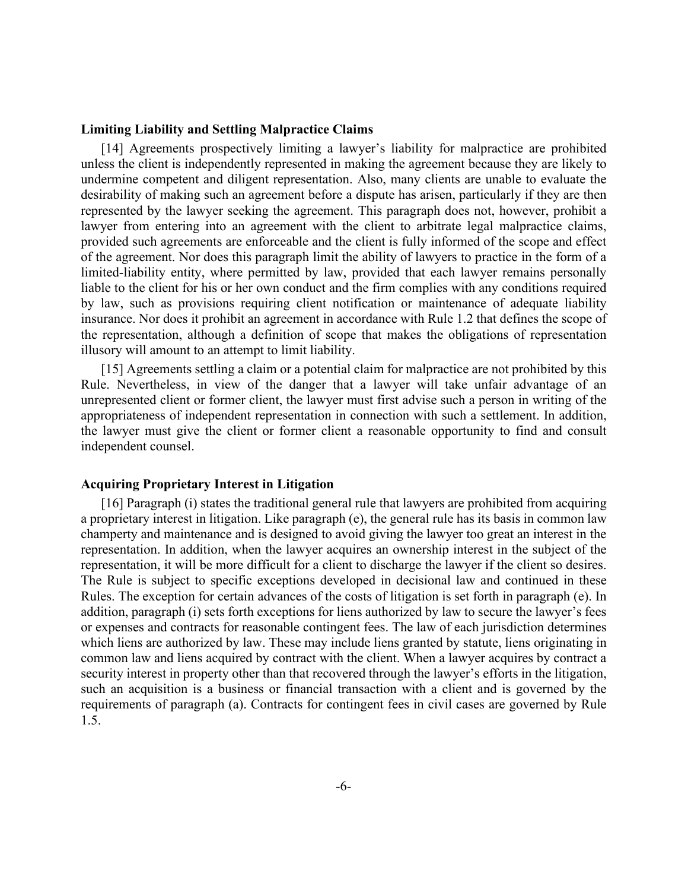# **Limiting Liability and Settling Malpractice Claims**

[14] Agreements prospectively limiting a lawyer's liability for malpractice are prohibited unless the client is independently represented in making the agreement because they are likely to undermine competent and diligent representation. Also, many clients are unable to evaluate the desirability of making such an agreement before a dispute has arisen, particularly if they are then represented by the lawyer seeking the agreement. This paragraph does not, however, prohibit a lawyer from entering into an agreement with the client to arbitrate legal malpractice claims, provided such agreements are enforceable and the client is fully informed of the scope and effect of the agreement. Nor does this paragraph limit the ability of lawyers to practice in the form of a limited-liability entity, where permitted by law, provided that each lawyer remains personally liable to the client for his or her own conduct and the firm complies with any conditions required by law, such as provisions requiring client notification or maintenance of adequate liability insurance. Nor does it prohibit an agreement in accordance with Rule 1.2 that defines the scope of the representation, although a definition of scope that makes the obligations of representation illusory will amount to an attempt to limit liability.

[15] Agreements settling a claim or a potential claim for malpractice are not prohibited by this Rule. Nevertheless, in view of the danger that a lawyer will take unfair advantage of an unrepresented client or former client, the lawyer must first advise such a person in writing of the appropriateness of independent representation in connection with such a settlement. In addition, the lawyer must give the client or former client a reasonable opportunity to find and consult independent counsel.

## **Acquiring Proprietary Interest in Litigation**

[16] Paragraph (i) states the traditional general rule that lawyers are prohibited from acquiring a proprietary interest in litigation. Like paragraph (e), the general rule has its basis in common law champerty and maintenance and is designed to avoid giving the lawyer too great an interest in the representation. In addition, when the lawyer acquires an ownership interest in the subject of the representation, it will be more difficult for a client to discharge the lawyer if the client so desires. The Rule is subject to specific exceptions developed in decisional law and continued in these Rules. The exception for certain advances of the costs of litigation is set forth in paragraph (e). In addition, paragraph (i) sets forth exceptions for liens authorized by law to secure the lawyer's fees or expenses and contracts for reasonable contingent fees. The law of each jurisdiction determines which liens are authorized by law. These may include liens granted by statute, liens originating in common law and liens acquired by contract with the client. When a lawyer acquires by contract a security interest in property other than that recovered through the lawyer's efforts in the litigation, such an acquisition is a business or financial transaction with a client and is governed by the requirements of paragraph (a). Contracts for contingent fees in civil cases are governed by Rule 1.5.